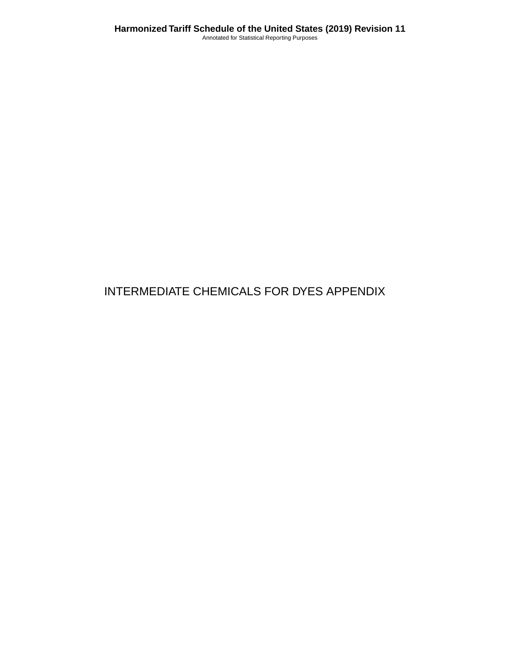# INTERMEDIATE CHEMICALS FOR DYES APPENDIX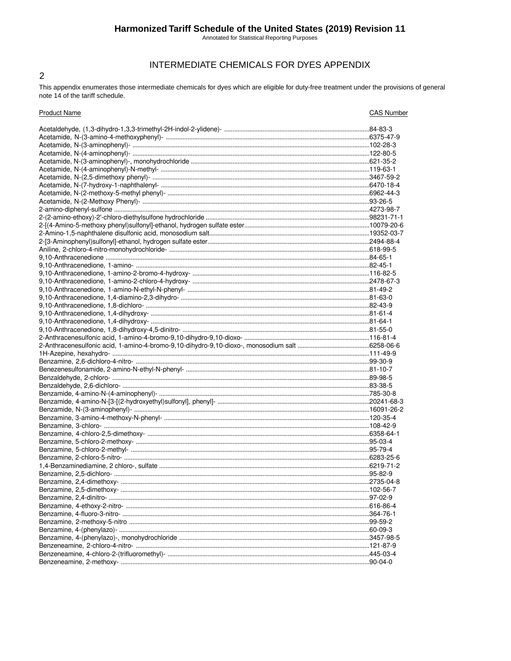## Harmonized Tariff Schedule of the United States (2019) Revision 11

Annotated for Statistical Reporting Purposes

## INTERMEDIATE CHEMICALS FOR DYES APPENDIX

This appendix enumerates those intermediate chemicals for dyes which are eligible for duty-free treatment under the provisions of general note 14 of the tariff schedule.

 $\overline{2}$ 

| <b>Product Name</b>       | <b>CAS Number</b> |
|---------------------------|-------------------|
|                           |                   |
|                           |                   |
|                           |                   |
|                           |                   |
|                           |                   |
|                           |                   |
|                           |                   |
|                           |                   |
|                           |                   |
|                           |                   |
|                           |                   |
|                           |                   |
|                           |                   |
|                           |                   |
|                           |                   |
|                           |                   |
|                           |                   |
|                           |                   |
|                           |                   |
|                           |                   |
|                           |                   |
|                           |                   |
|                           |                   |
|                           |                   |
|                           |                   |
|                           |                   |
|                           |                   |
|                           |                   |
|                           |                   |
|                           |                   |
|                           |                   |
|                           |                   |
|                           |                   |
|                           |                   |
|                           |                   |
|                           |                   |
|                           |                   |
|                           |                   |
|                           |                   |
|                           |                   |
|                           |                   |
|                           |                   |
|                           |                   |
|                           |                   |
| Benzamine, 2.4-dimethoxy- |                   |
|                           |                   |
|                           |                   |
|                           |                   |
|                           |                   |
|                           |                   |
|                           |                   |
|                           |                   |
|                           |                   |
|                           |                   |
|                           |                   |
|                           |                   |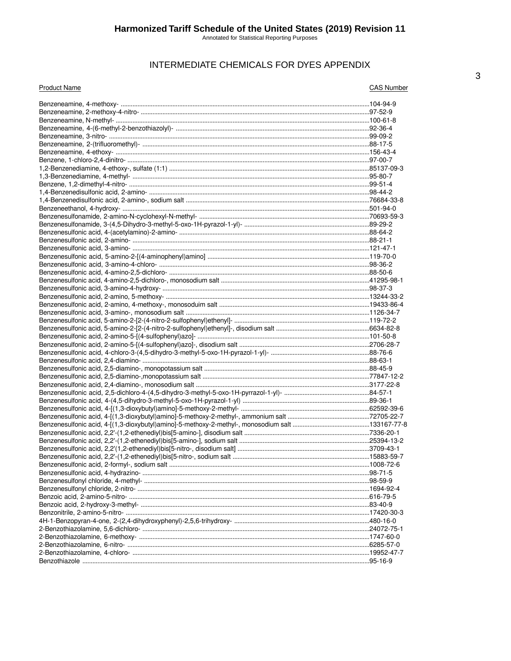## INTERMEDIATE CHEMICALS FOR DYES APPENDIX

| <b>Product Name</b> | <b>CAS Number</b> |
|---------------------|-------------------|
|                     |                   |
|                     |                   |
|                     |                   |
|                     |                   |
|                     |                   |
|                     |                   |
|                     |                   |
|                     |                   |
|                     |                   |
|                     |                   |
|                     |                   |
|                     |                   |
|                     |                   |
|                     |                   |
|                     |                   |
|                     |                   |
|                     |                   |
|                     |                   |
|                     |                   |
|                     |                   |
|                     |                   |
|                     |                   |
|                     |                   |
|                     |                   |
|                     |                   |
|                     |                   |
|                     |                   |
|                     |                   |
|                     |                   |
|                     |                   |
|                     |                   |
|                     |                   |
|                     |                   |
|                     |                   |
|                     |                   |
|                     |                   |
|                     |                   |
|                     |                   |
|                     |                   |
|                     |                   |
|                     |                   |
|                     |                   |
|                     |                   |
|                     |                   |
|                     |                   |
|                     |                   |
|                     |                   |
|                     |                   |
|                     |                   |
|                     |                   |
|                     |                   |
|                     |                   |
|                     |                   |
|                     |                   |
|                     |                   |
|                     |                   |
|                     |                   |
|                     |                   |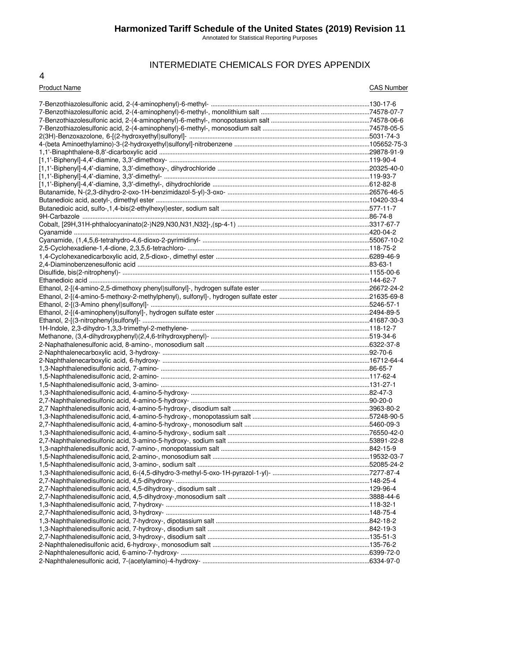Annotated for Statistical Reporting Purposes

## INTERMEDIATE CHEMICALS FOR DYES APPENDIX

#### 4

#### Product Name CAS Number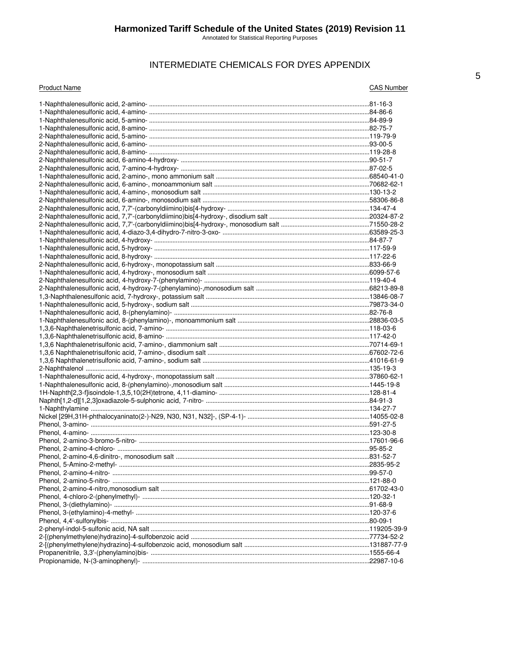Annotated for Statistical Reporting Purposes

## INTERMEDIATE CHEMICALS FOR DYES APPENDIX

#### **Product Name**

**CAS Number**